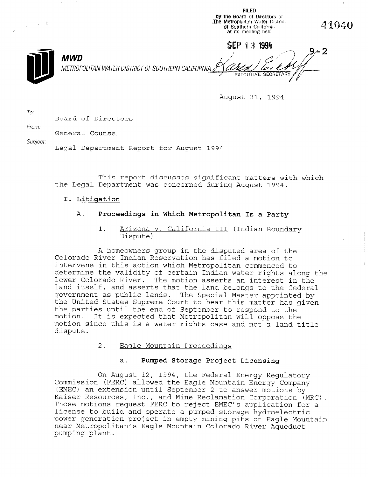**the Board of Directors oi** נס<br>The  $\frac{1}{2\pi i} \int_{-\infty}^{\infty} \frac{1}{2\pi i} \, d\mu = \frac{1}{2} \sum_{i=1}^n \frac{1}{2\pi i} \frac{1}{2\pi i} \frac{1}{2\pi i} \frac{1}{2\pi i}$ Metropolitan Water Distri 41040 of Southern California at its meeting held SEP 13 1994 **MWD** METROPOLITAN WATER DISTRICT OF SOUTHERN CALIFORNIA

August 31, 1994

FILED

To: Board of Directors

From:

General Counsel

Subject:

Legal Department Report for August 1994

This report discusses significant matters with which the Legal Department was concerned during August 1994.

# I. Litiqation

# A. Proceedings in Which Metropolitan Is a Party

1. Arizona v. California III (Indian Boundary Dispute)

A homeowners group in the disputed area of the Colorado River Indian Reservation has filed a motion to intervene in this action which Metropolitan commenced to determine the validity of certain Indian water rights along the lower Colorado River. The motion asserts an interest in the land itself, and asserts that the land belongs to the federal government as public lands. The Special Master appointed by the United States Supreme Court to hear this matter has given the parties until the end of September to respond to the motion. It is expected that Metropolitan will oppose the motion since this specied that relief results oppose the motion since this is a water rights case and not a land title dispute.

2. Eaqle Mountain Proceedinqs

# a. Pumped Storage Project Licensing

On August 12, 1994, the Federal Energy Regulatory Commission (First, 1994, the Federal Energy Regulatory Commission (FERC) allowed the Eagle Mountain Energy Company (EMEC) an extension until September 2 to answer motions by<br>Kaiser Resources, Inc., and Mine Reclamation Corporation (MRC). Kaiser Resources, inc., and mine Reclamation Corporation (MRC)<br>T lice motions request rekt to reject emet s application license to build and operate a pumped storage hydroelectric power generation project in empty mining pits on Eagle Mountain near Metropolitan's Eagle Mountain Colorado River Aqueduct<br>pumping plant.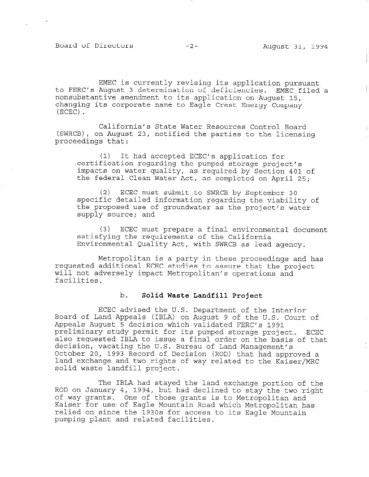Board of Directors -2- August 31, 1994

EMEC is currently revising its application pursuant to FERC's August 3 determination of deficiencies. EMEC filed a nonsubstantive amendment to its application on August 15, changing its corporate name to Eagle Crest Energy Company (ECEC) .

California's State Water Resources Control Board (sWRCB), on August 23, notified the parties to the licensing proceedings that:

(1) It had accepted ECEC's application for certification regarding the pumped storage project's impacts on water quality, as required by Section 401 of the federal Clean Water Act, as completed on April 25;

(2) ECEC must submit to SWRCB by September 30 specific detailed information regarding the viability of the proposed use of groundwater as the project's water supply source; and

(3) ECEC must prepare a final environmental document satisfying the requirements of the California Environmental Quality Act, with SWRCB as lead agency.

Metropolitan is a party in these proceedings and has requested additional ECEC studies to assure that the project will not adversely impact Metropolitan's operations and facilities.

#### b. Solid Waste Landfill Project

ECEC advised the U.S. Department of the Interior Board of Land Appeals (IBLA) on August 9 of the U.S. Court of Appeals August 5 decision which validated FERC's 1991 preliminary study permit for its pumped storage project. ECEC also requested IBLA to issue a final order on the basis of that decision, vacating the U.S. Bureau of Land Management's October 20, Vacacing Che 0.5. Buteau Of Dand Management S bland exchange and two rights of way related to the Manuscripture of way related to the Kaiser Manuscripture o land exchange and two rights of way related to the Kaiser/MRC solid waste landfill project.

The IBLA had stayed the land exchange portion of the ROD on January 4, 1994, but had declined to stay the two right kop on January 4, 1994, but had decimed to stay the two r<br>.f .... wents is to Metropolitan and is to Metropolitan and of way grants. One of those grants is to metropolitan and raiser for use of Eagle Mountain Road which Metropolitan relied on since the 1930s for access to its Eagle Mountain<br>pumping plant and related facilities.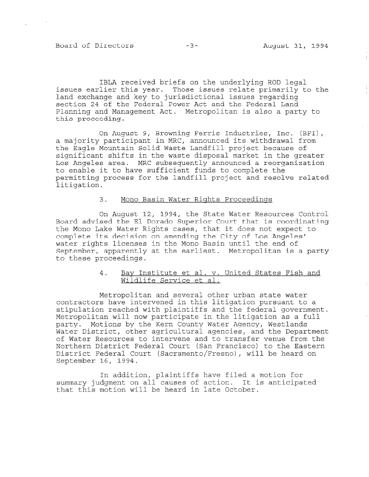Board of Directors -3- August 31, 1994

IBLA received briefs on the underlying ROD legal issues earlier this year. Those issues relate primarily to the land exchange and key to jurisdictional issues regarding section 24 of the Federal Power Act and the Federal Land Planning and Management Act. Metropolitan is also a party to this proceeding.

On August 9, Browning Ferris Industries, Inc. (BFI), a majority participant in MRC, announced its withdrawal from the Eagle Mountain Solid Waste Landfill project because of significant shifts in the waste disposal market in the greater Los Angeles area. MRC subsequently announced a reorganization to enable it to have sufficient funds to complete the permitting process for the landfill project and resolve related litigation.

### 3. Mono Basin Water Riqhts Proceedinqs

On August 12, 1994, the State Water Resources Control Board'advised the El Dorado Superior Court that is coordinating the Mono Lake Water Rights cases, that it does not expect to complete its decision on amending the City of Los Angeles' water rights licenses in the Mono Basin until the end of September, apparently at the earliest. Metropolitan is a party to these proceedings.

## 4. Bay Institute et al. v. United States Fish and Wildlife Service et al.

Metropolitan and several other urban state water contractors have intervened in this litigation pursuant to a stipulation reached with plaintiffs and the federal government. Metropolitan will now participate in the litigation as a full party. Motions by the Kern County Water Agency, Westlands Water District, other agricultural agencies, and the Department of Water Resources to intervene and to transfer venue from the Northern District Federal Court (San Francisco) to the Eastern District Federal Court (Sacramento/Fresno), will be heard on September 16, 1994.

In addition, plaintiffs have filed a motion for summary judgment on all causes of action. It is anticipated that this motion will be heard in late October.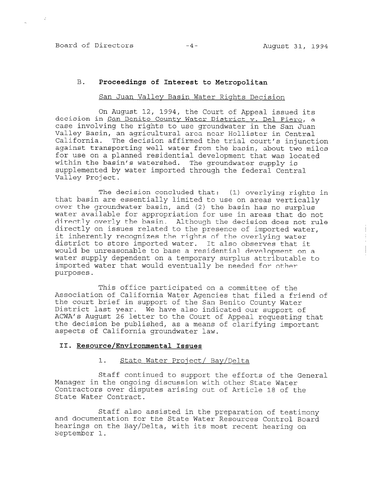# B. Proceedings of Interest to Metropolitan

#### San Juan Valley Basin Water Rights Decision

On August 12, 1994, the Court of Appeal issued its decision in San Benito County Water District v. Del Piero, a case involving the rights to use groundwater in the San Juan Valley Basin, an agricultural area near Hollister in Central California. The decision affirmed the trial court's injunction against transporting well water from the basin, about two miles for use on a planned residential development that was located within the basin's watershed. The groundwater supply is supplemented by water imported through the federal Central Valley Project.

The decision concluded that: (1) overlying rights in that basin are essentially limited to use on areas vertically over the groundwater basin, and (2) the basin has no surplus water available for appropriation for use in areas that do not directly overly the basin. Although the decision does not rule directly on issues related to the presence of imported water, it inherently recognizes the rights of the overlying water district to store imported water. It also observes that it would be unreasonable to base a residential development on a water supply dependent on a temporary surplus attributable to imported water that would eventually be needed for other purposes.

This office participated on a committee of the Association of California Water Agencies that filed a friend of the court brief in support of the San Benito County Water District last year. We have also indicated our support of ACWA's August 26 letter to the Court of Appeal requesting that the decision be published, as a means of clarifying important aspects of California groundwater law.

#### II. Resource/Environmental Issues

# 1. State Water Proiect/ Bay/Delta

 $S_{\text{S}}$  continued to support the efforts  $C_{\text{S}}$ Manager is the one of the original condition of the original with  $\sim$ Manager in the ongoing discussion with other State Water Contractors over disputes arising out of Article 18 of the<br>State Water Contract.

Staff also assisted in the preparation of testimony and documentation for the State Water State Water State Water State Board Board Board Board Board Board Board B and documentation for the State Water Resources Control Board hearings on the Bay/Delta, with its most recent hearing on September 1.